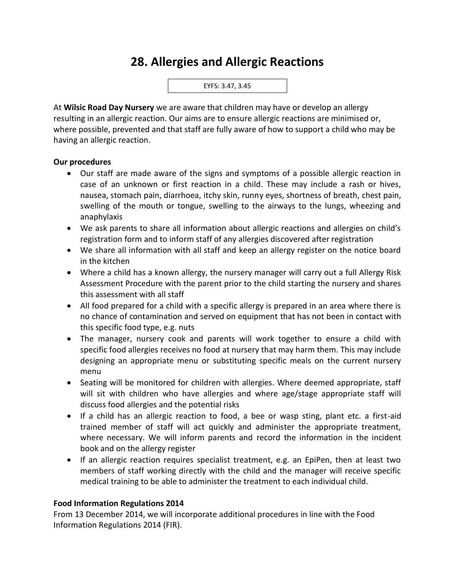## **28. Allergies and Allergic Reactions**



At **Wilsic Road Day Nursery** we are aware that children may have or develop an allergy resulting in an allergic reaction. Our aims are to ensure allergic reactions are minimised or, where possible, prevented and that staff are fully aware of how to support a child who may be having an allergic reaction.

## **Our procedures**

- Our staff are made aware of the signs and symptoms of a possible allergic reaction in case of an unknown or first reaction in a child. These may include a rash or hives, nausea, stomach pain, diarrhoea, itchy skin, runny eyes, shortness of breath, chest pain, swelling of the mouth or tongue, swelling to the airways to the lungs, wheezing and anaphylaxis
- We ask parents to share all information about allergic reactions and allergies on child's registration form and to inform staff of any allergies discovered after registration
- We share all information with all staff and keep an allergy register on the notice board in the kitchen
- Where a child has a known allergy, the nursery manager will carry out a full Allergy Risk Assessment Procedure with the parent prior to the child starting the nursery and shares this assessment with all staff
- All food prepared for a child with a specific allergy is prepared in an area where there is no chance of contamination and served on equipment that has not been in contact with this specific food type, e.g. nuts
- The manager, nursery cook and parents will work together to ensure a child with specific food allergies receives no food at nursery that may harm them. This may include designing an appropriate menu or substituting specific meals on the current nursery menu
- Seating will be monitored for children with allergies. Where deemed appropriate, staff will sit with children who have allergies and where age/stage appropriate staff will discuss food allergies and the potential risks
- If a child has an allergic reaction to food, a bee or wasp sting, plant etc. a first-aid trained member of staff will act quickly and administer the appropriate treatment, where necessary. We will inform parents and record the information in the incident book and on the allergy register
- If an allergic reaction requires specialist treatment, e.g. an EpiPen, then at least two members of staff working directly with the child and the manager will receive specific medical training to be able to administer the treatment to each individual child.

## **Food Information Regulations 2014**

From 13 December 2014, we will incorporate additional procedures in line with the Food Information Regulations 2014 (FIR).